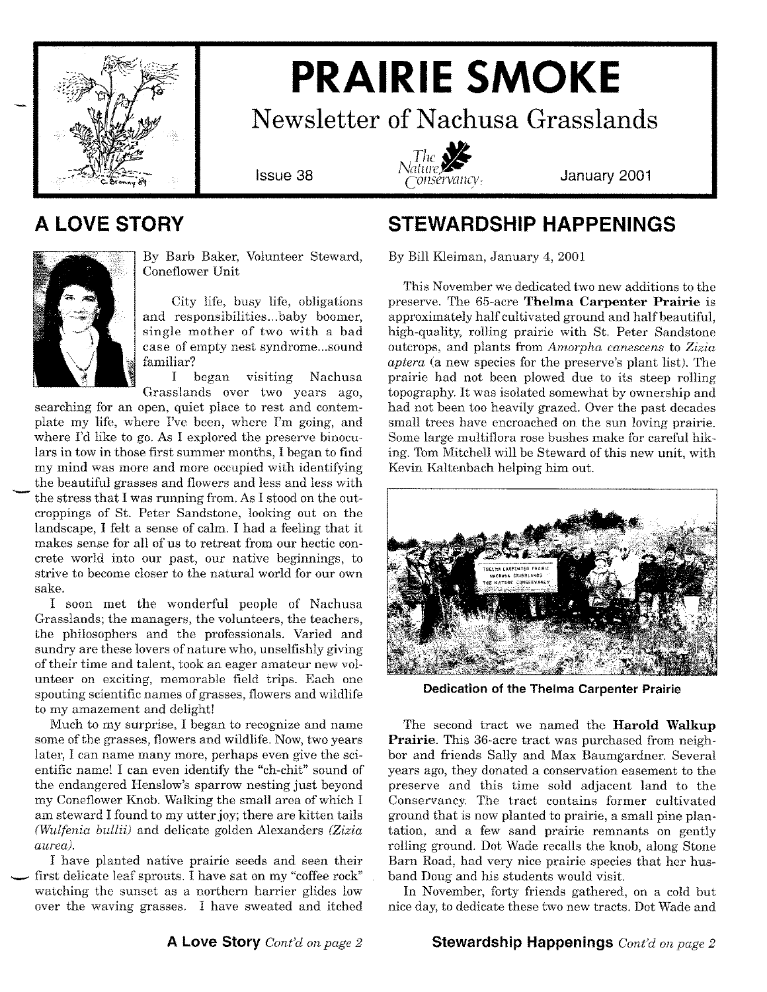

# **PRAIRIE SMOKE**

**Newsletter of Nachusa Grasslands**



**January 2001**

### **A LOVE STORY**



By Barb Baker, Volunteer Steward, Coneflower Unit

City life, busy life, obligations and responsibilities ...baby boomer, single mother of two with a bad case of empty nest syndrome ...sound familiar?

I began visiting Nachusa Grasslands over two years ago,

searching for an open, quiet place to rest and contemplate my life, where I've been, where I'm going, and where I'd like to go. As I explored the preserve binoculars in tow in those first summer months, I began to find my mind was more and more occupied with identifying the beautiful grasses and flowers and less and less with the stress that I was running from. As I stood on the outcroppings of St. Peter Sandstone, looking out on the landscape, I felt a sense of calm. I had a feeling that it makes sense for all of us to retreat from our hectic concrete world into our past, our native beginnings, to strive to become closer to the natural world for our own sake.

I soon met the wonderful people of Nachusa Grasslands; the managers, the volunteers, the teachers, the philosophers and the professionals. Varied and sundry are these lovers of nature who, unselfishly giving of their time and talent, took an eager amateur new volunteer on exciting, memorable field trips. Each one spouting scientific names of grasses, flowers and wildlife to my amazement and delight!

Much to my surprise, I began to recognize and name some of the grasses, flowers and wildlife. Now, two years later, I can name many more, perhaps even give the scientific name! I can even identify the "ch-chit" sound of the endangered Henslow's sparrow nesting just beyond my Coneflower Knob. Walking the small area ofwhich I am steward I found to my utter joy; there are kitten tails *(Wulfenia bullii)* and delicate golden Alexanders *(Zizia aurea).*

I have planted native prairie seeds and seen their first delicate leaf sprouts. I have sat on my "coffee rock" watching the sunset as a northern harrier glides low over the waving grasses. I have sweated and itched

### **STEWARDSHIP HAPPENINGS**

By Bill Kleiman, January 4, 2001

This November we dedicated two new additions to the preserve. The 65-acre **Thelma Carpenter Prairie** is approximately half cultivated ground and half beautiful, high-quality, rolling prairie with St. Peter Sandstone outcrops, and plants from *Amorpha canescens* to *Zizia aptera* (a new species for the preserve's plant list). The prairie had not been plowed due to its steep rolling topography. It was isolated somewhat by ownership and had not been too heavily grazed. Over the past decades small trees have encroached on the sun loving prairie. Some large multiflora rose bushes make for careful hiking. Tom Mitchell will be Steward of this new unit, with Kevin Kaltenbach helping him out.



**Dedication of the Thelma Carpenter Prairie**

The second tract we named the **Harold Walkup Prairie.** This 36-acre tract was purchased from neighbor and friends Sally and Max Baumgardner. Several years ago, they donated a conservation easement to the preserve and this time sold adjacent land to the Conservancy. The tract contains former cultivated ground that is now planted to prairie, a small pine plantation, and a few sand prairie remnants on gently rolling ground. Dot Wade recalls the knob, along Stone Barn Road, had very nice prairie species that her husband Doug and his students would visit.

In November, forty friends gathered, on a cold but nice day, to dedicate these two new tracts. Dot Wade and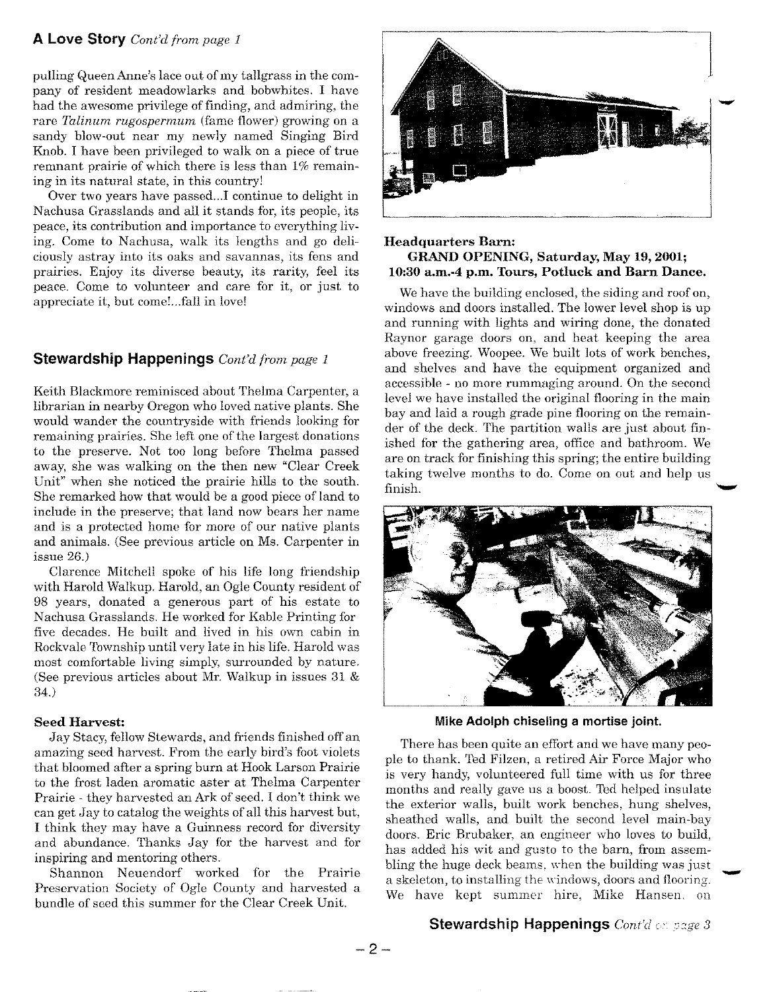### **A Love Story** *Cont'd from page 1*

pulling Queen Anne's lace out of my tallgrass in the company of resident meadowlarks and bobwhites. I have had the awesome privilege of finding, and admiring, the rare *Talinum rugospermum* (fame flower) growing on a sandy blow-out near my newly named Singing Bird Knob. I have been privileged to walk on a piece of true remnant prairie of which there is less than 1% remaining in its natural state, in this country!

Over two years have passed ...I continue to delight in Nachusa Grasslands and all it stands for, its people, its peace, its contribution and importance to everything living. Come to Nachusa, walk its lengths and go deliciously astray into its oaks and savannas, its fens and prairies. Enjoy its diverse beauty, its rarity, feel its peace. Come to volunteer and care for it, or just to appreciate it, but come!...fall in love!

### **Stewardship Happenings** *Cont'd from page 1*

Keith Blackmore reminisced about Thelma Carpenter, a librarian in nearby Oregon who loved native plants. She would wander the countryside with friends looking for remaining prairies. She left one of the largest donations to the preserve. Not too long before Thelma passed away, she was walking on the then new "Clear Creek Unit" when she noticed the prairie hills to the south. She remarked how that would be a good piece of land to include in the preserve; that land now bears her name and is a protected home for more of our native plants and animals. (See previous article on Ms. Carpenter in issue 26.)

Clarence Mitchell spoke of his life long friendship with Harold Walkup. Harold, an Ogle County resident of 98 years, donated a generous part of his estate to Nachusa Grasslands. He worked for Kable Printing for five decades. He built and lived in his own cabin in Rockvale Township until very late in his life. Harold was most comfortable living simply, surrounded by nature. (See previous articles about Mr. Walkup in issues 31 & 34.)

### **Seed Harvest:**

Jay Stacy, fellow Stewards, and friends finished off an amazing seed harvest. From the early bird's foot violets that bloomed after a spring burn at Hook Larson Prairie to the frost laden aromatic aster at Thelma Carpenter Prairie - they harvested an Ark of seed. I don't think we can get Jay to catalog the weights of all this harvest but, I think they may have a Guinness record for diversity and abundance. Thanks Jay for the harvest and for inspiring and mentoring others.

Shannon Neuendorf worked for the Prairie Preservation Society of Ogle County and harvested a bundle of seed this summer for the Clear Creek Unit.



### **Headquarters Barn: GRAND OPENING, Saturday, May 19, 2001; 10:30 a.m.-4** p.m, **Tours, Potluck and Barn Dance.**

We have the building enclosed, the siding and roof on, windows and doors installed. The lower level shop is up and running with lights and wiring done, the donated Raynor garage doors on, and heat keeping the area above freezing. Woopee.We built lots of work benches, and shelves and have the equipment organized and accessible - no more rummaging around. On the second level we have installed the original flooring in the main bay and laid a rough grade pine flooring on the remainder of the deck. The partition walls are just about finished for the gathering area, office and bathroom. We are on track for finishing this spring; the entire building taking twelve months to do. Come on out and help us finish.  $\blacksquare$ 



**Mike Adolph chiseling a mortise joint.**

There has been quite an effort and we have many people to thank. Ted Filzen, a retired Air Force Major who is very handy, volunteered full time with us for three months and really gave us a boost. Ted helped insulate the exterior walls, built work benches, hung shelves, sheathed walls, and built the second level main-bay doors. Eric Brubaker, an engineer who loves to build, has added his wit and gusto to the barn, from assembling the huge deck beams, when the building was just a skeleton, to installing the windows, doors and flooring. We have kept summer hire, Mike Hansen. on

### **Stewardship Happenings** *Cont'd on page 3*

-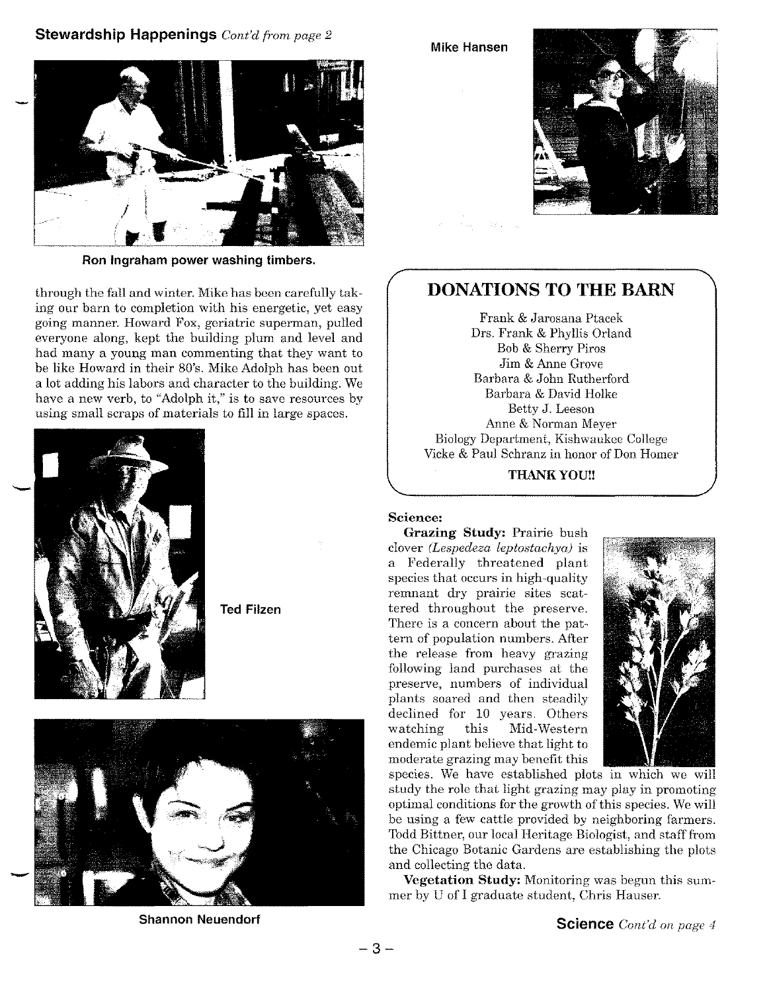### **Stewardship Happenings** *Cont'd from page 2*



**Ron Ingraham power washing timbers.**

through the fall and winter. Mike has been carefully taking our barn to completion with his energetic, yet easy going manner. Howard Fox, geriatric superman, pulled everyone along, kept the building plum and level and had many a young man commenting that they want to be like Howard in their 80's. Mike Adolph has been out a lot adding his labors and character to the building. We have a new verb, to "Adolph it," is to save resources by using small scraps of materials to fill in large spaces.



**Ted Filzen**



**Shannon Neuendorf**

**Mike Hansen**



### **DONATIONS TO THE BARN**

Frank & Jarosana Ptacek Drs. Frank & Phyllis Orland Bob& Sherry Piros Jim & Anne Grove Barbara & John Rutherford Barbara & David Holke Betty J. Leeson Anne & Norman Meyer BiologyDepartment, Kishwaukee College Vicke & Paul Schranz in honor of Don Homer

**THANKYOU!!**

### **Science:**

**Grazing Study:** Prairie bush clover *(Lespedeza leptostachya)* is a Federally threatened plant species that occurs in high-quality remnant dry prairie sites scattered throughout the preserve. There is a concern about the pattern of population numbers. After the release from heavy grazing following land purchases at the preserve, numbers of individual plants soared and then steadily declined for 10 years. Others watching this Mid-Western endemic plant believe that light to moderate grazing may benefit this



species. We have established plots in which we will study the role that light grazing may play in promoting optimal conditions for the growth of this species. We will be using a few cattle provided by neighboring farmers. Todd Bittner, our local Heritage Biologist, and staff from the Chicago Botanic Gardens are establishing the plots and collecting the data.

**Vegetation Study:** Monitoring was begun this summer by U of I graduate student, Chris Hauser.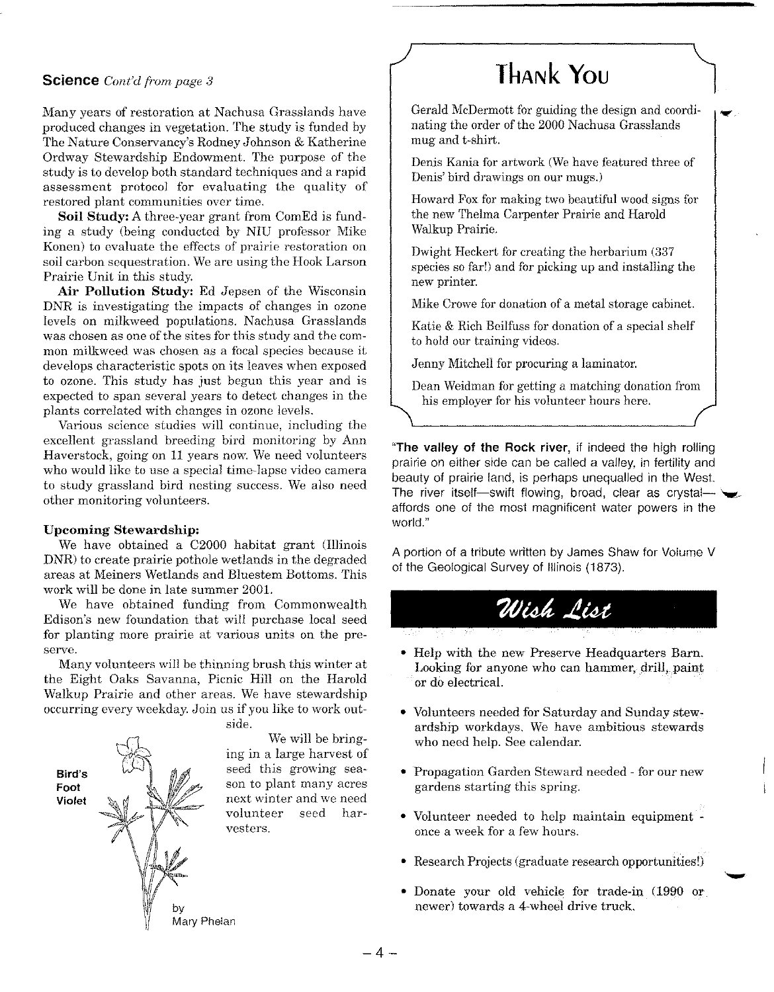### **Science** *Cont'd from page 3*

Many years of restoration at Nachusa Grasslands have produced changes in vegetation. The study is funded by The Nature Conservancy's Rodney Johnson & Katherine Ordway Stewardship Endowment. The purpose of the study is to develop both standard techniques and a rapid assessment protocol for evaluating the quality of restored plant communities over time.

**Soil Study:** A three-year grant from ComEd is funding a study (being conducted by NIU professor Mike Konen) to evaluate the effects of prairie restoration on soil carbon sequestration. We are using the Hook Larson Prairie Unit in this study.

**Air Pollution Study:** Ed Jepsen of the Wisconsin DNR is investigating the impacts of changes in ozone levels on milkweed populations. Nachusa Grasslands was chosen as one of the sites for this study and the common milkweed was chosen as a focal species because it develops characteristic spots on its leaves when exposed to ozone. This study has just begun this year and is expected to span several years to detect changes in the plants correlated with changes in ozone levels.

Various science studies will continue, including the excellent grassland breeding bird monitoring by Ann Haverstock, going on 11 years now. We need volunteers who would like to use a special time-lapse video camera to study grassland bird nesting success. We also need other monitoring volunteers.

#### **Upcoming Stewardship:**

We have obtained a *C2000* habitat grant (Illinois DNR) to create prairie pothole wetlands in the degraded areas at Meiners Wetlands and Bluestem Bottoms. This work will be done in late summer 200l.

We have obtained funding from Commonwealth Edison's new foundation that will purchase local seed for planting more prairie at various units on the preserve.

Many volunteers will be thinning brush this winter at the Eight Oaks Savanna, Picnic Hill on the Harold Walkup Prairie and other areas. We have stewardship occurring every weekday. Join us if you like to work out-



### **THANk YOlJ**

Gerald McDermott for guiding the design and coordinating the order of the 2000 Nachusa Grasslands mug and t-shirt.

Denis Kania for artwork (We have featured three of Denis' bird drawings on our mugs.)

Howard Fox for making two beautiful wood signs for the new Thelma Carpenter Prairie and Harold Walkup Prairie.

Dwight Heckert for creating the herbarium (337 species so far!) and for picking up and installing the new printer.

Mike Crowe for donation of a metal storage cabinet.

Katie & Rich Beilfuss for donation of a special shelf to hold our training videos.

Jenny Mitchell for procuring a laminator.

Dean Weidman for getting a matching donation from his employer for his volunteer hours here.

**"The valley of the Rock river,** if indeed the high rolling prairie on either side can be called a *valley,* in fertility and beauty of prairie land, is perhaps unequalled in the West. The river itself-swift flowing, broad, clear as crystalaffords one of the most magnificent water powers in the world."

A portion of a tribute written by James Shaw for Volume V of the Geological Survey of Illinois (1873).

## Wish List

- Help with the new Preserve Headquarters Barn. Looking for anyone who can hammer, drill, paint or do electrical.
- Volunteers needed for Saturday and Sunday stew .. ardship workdays. We have ambitious stewards who need help. See calendar.
- Propagation Garden Steward needed for our new gardens starting this spring.
- Volunteer needed to help maintain equipment once a week for a few hours.
- Research Projects (graduate research opportunitiesl)
- Donate your old vehicle for trade-in (1990 or newer) towards a 4-wheel drive truck.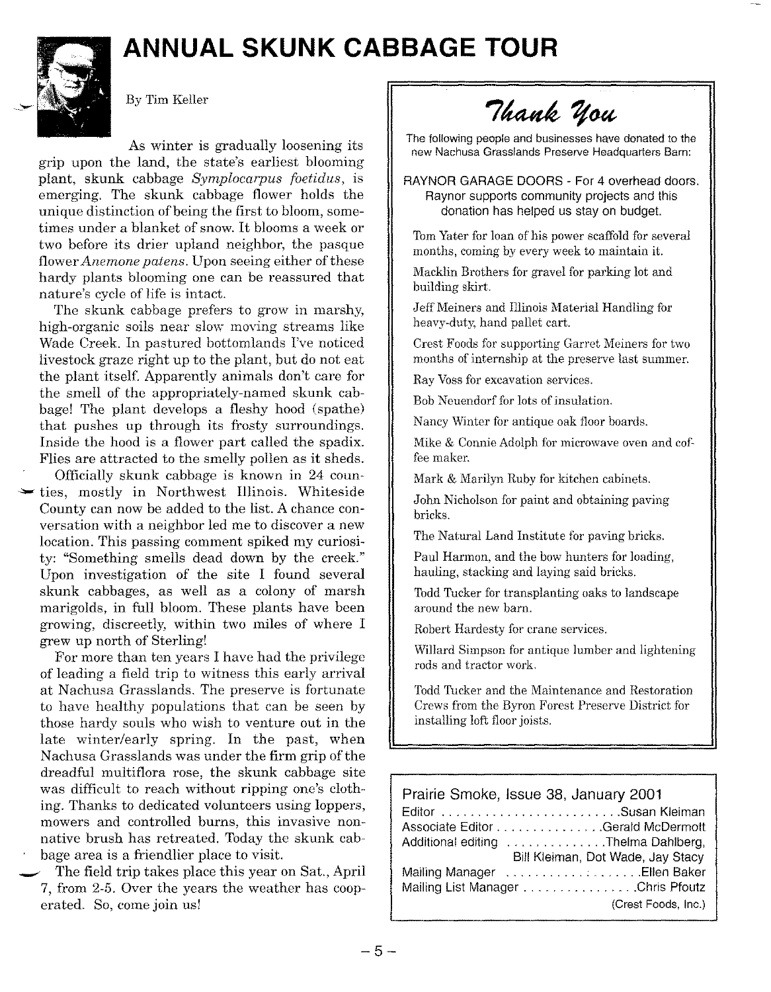### **ANNUAL SKUNK CABBAGE TOUR**



By Tim Keller

As winter is gradually loosening its grip upon the land, the state's earliest blooming plant, skunk cabbage *Symplocarpus foetidus,* is emerging. The skunk cabbage flower holds the unique distinction of being the first to bloom, sometimes under a blanket of snow. It blooms a week or two before its drier upland neighbor, the pasque flower *Anemone* patens. Upon seeing either of these hardy plants blooming one can be reassured that nature's cycle of life is intact.

The skunk cabbage prefers to grow in marshy, high-organic soils near slow moving streams like Wade Creek. In pastured bottomlands I've noticed livestock graze right up to the plant, but do not eat the plant itself. Apparently animals don't care for the smell of the appropriately-named skunk cabbage! The plant develops a fleshy hood (spathe) that pushes up through its frosty surroundings. Inside the hood is a flower part called the spadix. Flies are attracted to the smelly pollen as it sheds.

Officially skunk cabbage is known in 24 coun ties, mostly in Northwest Illinois. Whiteside County can now be added to the list. A chance conversation with a neighbor led me to discover a new location. This passing comment spiked my curiosity: "Something smells dead down by the creek." Upon investigation of the site I found several skunk cabbages, as well as a colony of marsh marigolds, in full bloom. These plants have been growing, discreetly, within two miles of where I grew up north of Sterling!

For more than ten years I have had the privilege of leading a field trip to witness this early arrival at Nachusa Grasslands. The preserve is fortunate to have healthy populations that can be seen by those hardy souls who wish to venture out in the late winter/early spring. In the past, when Nachusa Grasslands was under the firm grip of the dreadful multiflora rose, the skunk cabbage site was difficult to reach without ripping one's clothing. Thanks to dedicated volunteers using loppers, mowers and controlled burns, this invasive nonnative brush has retreated. Today the skunk cabbage area is a friendlier place to visit.

The field trip takes place this year on Sat., April 7, from 2-5. Over the years the weather has cooperated. So, come join us!

Thank You

The following people and businesses have donated to the new Nachusa Grasslands Preserve Headquarters Barn:

RAYNOR GARAGE DOORS - For 4 overhead doors. Raynor supports community projects and this donation has helped us stay on budget.

Tom Yater for loan of his power scaffold for several months, coming by every week to maintain it.

Macklin Brothers for gravel for parking lot and building skirt.

Jeff Meiners and Illinois Material Handling for heavy-duty, hand pallet cart.

Crest Foods for supporting Garret Meiners for two months of internship at the preserve last summer.

Ray Voss for excavation services.

Bob Neuendorf for lots of insulation.

Nancy Winter for antique oak floor boards.

Mike & Connie Adolph for microwave oven and coffee maker.

Mark & Marilyn Ruby for kitchen cabinets.

John Nicholson for paint and obtaining paving bricks.

The Natural Land Institute for paving bricks.

Paul Harmon, and the bow hunters for loading, hauling, stacking and laying said bricks.

Todd Tucker for transplanting oaks to landscape around the new barn.

Robert Hardesty for crane services.

Willard Simpson for antique lumber and lightening rods and tractor work.

Todd Tucker and the Maintenance and Restoration Crews from the Byron Forest Preserve District for installing loft floor joists.

| Prairie Smoke, Issue 38, January 2001 |                                     |
|---------------------------------------|-------------------------------------|
|                                       |                                     |
|                                       | Associate Editor Gerald McDermott   |
|                                       | Additional editing Thelma Dahlberg, |
|                                       | Bill Kleiman, Dot Wade, Jay Stacy   |
|                                       |                                     |
|                                       | Mailing List Manager Chris Pfoutz   |
|                                       | (Crest Foods, Inc.)                 |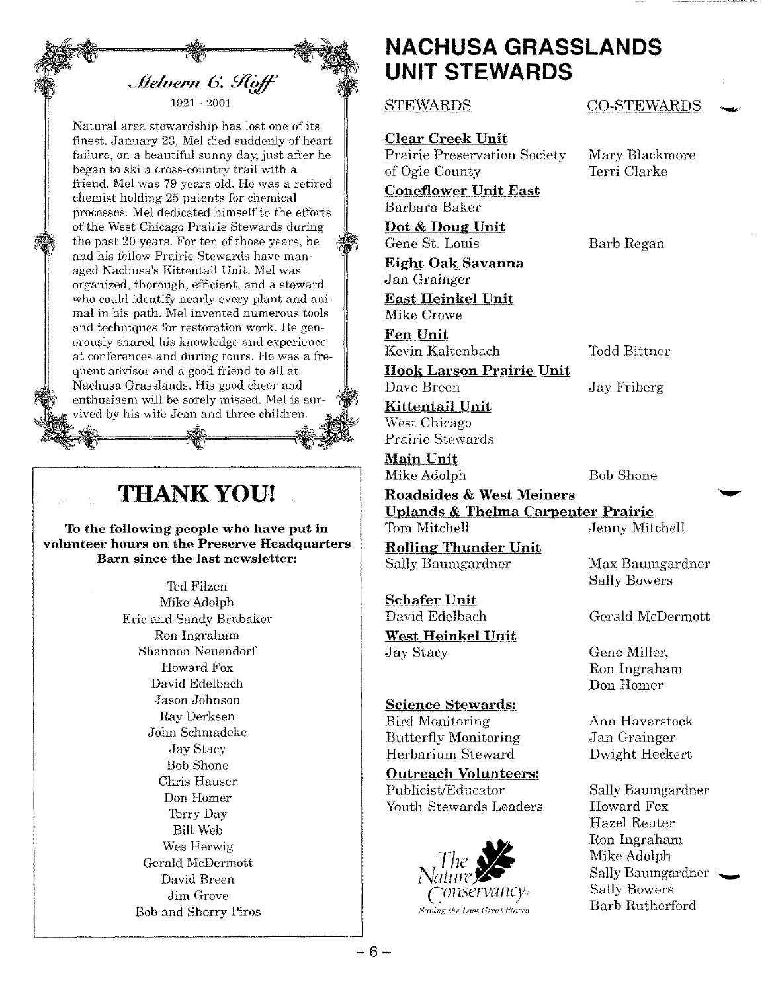

Natural area stewardship has lost one of its finest. January 23, Mel died suddenly of heart failure, on a beautiful sunny day, just after he began to ski a cross-country trail with a friend. Mel was 79 years old. He was a retired chemist holding 25 patents for chemical processes. Mel dedicated himself to the efforts of the West Chicago Prairie Stewards during the past 20 years. For ten of those years, he and his fellow Prairie Stewards have managed Nachusa's Kittentail Unit. Mel was organized, thorough, efficient, and a steward who could identify nearly every plant and animal in his path. Mel invented numerous tools and techniques for restoration work. He generously shared his knowledge and experience at conferences and during tours. He was a frequent advisor and a good friend to all at Nachusa Grasslands. His good cheer and enthusiasm will be sorely missed. Mel is survived by his wife Jean and three children.

### **TIIANKYOU!**

To the following people who have put in volunteer hours on the Preserve Headquarters Barn since the last newsletter:

> Ted Filzen Mike Adolph Eric and Sandy Brubaker Ron Ingraham Shannon Neuendorf Howard Fox David Edelbach Jason Johnson Ray Derksen John Schmadeke Jay Stacy Bob Shone Chris Hauser Don Homer Terry Day Bill Web Wes Herwig Gerald McDermott David Breen Jim Grove Bob and Sherry Piros

### **NACHUSA GRASSLANDS UNIT STEWARDS**

Clear Creek Unit Prairie Preservation Society Mary Blackmore of Ogle County Terri Clarke

Coneflower Unit East Barbara Baker

Dot & Doug Unit Gene St. Louis Barb Regan

Eight Oak Savanna Jan Grainger

East Heinkel Unit Mike Crowe

Fen Unit Kevin Kaltenbach Todd Bittner

Hook Larson Prairie Unit Dave Breen Jay Friberg

Kittentail Unit West Chicago Prairie Stewards

Main Unit Mike Adolph Bob Shone

Roadsides & West Meiners Uplands & Thelma Carpenter Prairie Tom Mitchell Jenny Mitchell Rolling Thunder Unit Sally Baumgardner 11ax Baumgardner

Schafer Unit David Edelbach Gerald McDermott West Heinkel Unit Jay Stacy Gene Miller,

Science Stewards: Bird Monitoring **Annish Annish Annish Annish Ann** Butterfly Monitoring Jan Grainger Herbarium Steward Dwight Heckert

Outreach Volunteers: Publicist/Educator Sally Baumgardner Youth Stewards Leaders Howard Fox



 $\begin{minipage}{.4\linewidth} \textbf{STEWARDS} \end{minipage}$ 

Sally Bowers

Ron Ingraham Don Homer

Hazel Reuter Ron Ingraham **Mike Adolph** Sally Baumgardner ~<br>Sally Bowers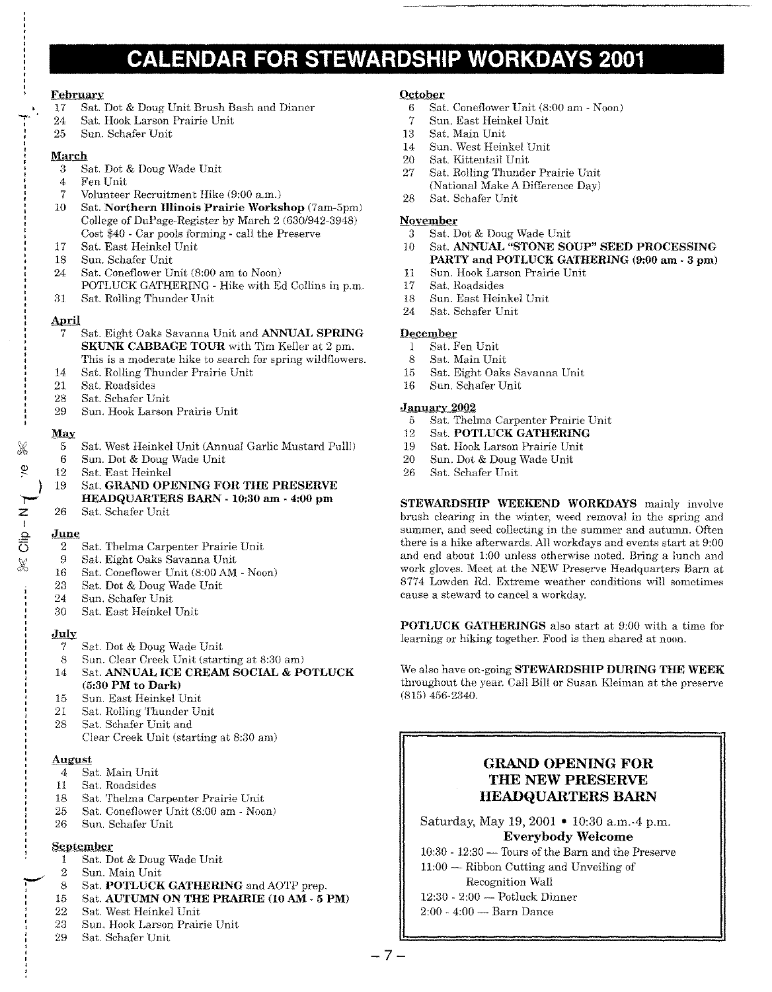### **CALENDAR FOR STEWARDSHIP WORKDAYS 2001**

### February

- 17 Sat. Dot & DougUnit Brush Bash and Dinner
- 24 Sat. HookLarson Prairie Unit
- 25 Sun. Schafer Unit

#### March

- 3 Sat. Dot & DougWade Unit
- 4 Fen Unit
- 7 Volunteer Recruitment Hike (9:00 a.m.)
- 10 Sat. Northern Illinois Prairie Workshop (7am-5pm) College of DuPage-Register by March 2 (630/942-3948) Cost \$40 - Car pools forming - call the Preserve
- 17 Sat. East Heinkel Unit<br>18 Sun. Schafer Unit
- Sun. Schafer Unit
- 24 Sat. Coneflower Unit (8:00 am to Noon) POTLUCK GATHERING - Hike with Ed Collins in p.m.
- 31 Sat. RollingThunder Unit

### April

- 7 Sat. Eight Oaks Savanna Unit and ANNUAL SPRING SKUNK CABBAGE TOUR with Tim Keller at 2 pm. This is a moderate hike to search for spring wildflowers.
- 14 Sat. Rolling Thunder Prairie Unit
- 
- 21 Sat. Roadsides<br>28 Sat. Schafer Ui Sat. Schafer Unit
- 29 Sun. HookLarson Prairie Unit

#### May

- 5 Sat. West Heinkel Unit (Annual Garlic Mustard Pull!)<br>6 Sun. Dot & Doug Wade Unit
- 6 Sun. Dot & Doug Wade Unit<br>12 Sat. East Heinkel
- Sat. East Heinkel
- 19 Sat. GRAND OPENING FOR THE PRESERVE HEADQUARTERS BARN - 10:30 am - 4:00 pm
- 26 Sat. Schafer Unit

### June

) .<br>|-<br>| z I

 $\ddot{\mathbf{e}}$ 

- 2 Sat. Thelma Carpenter Prairie Unit
- 9 Sat. Eight Oaks Savanna Unit
- 16 Sat. Coneflower Unit (8:00 AM Noon)
- 23 Sat. Dot & Doug Wade Unit
- 24 Sun. Schafer Unit
- 30 Sat. East Heinkel Unit

### July

- 7 Sat. Dot & Doug Wade Unit
- 8 Sun. Clear Creek Unit (starting at 8:30 am)
- 14 Sat. ANNUAL ICE CREAM SOCIAL & POTLUCK (5:30 PM to Dark)
- 15 Sun. East Heinkel Unit
- 21 Sat. Rolling Thunder Unit
- 28 Sat. Schafer Unit and Clear Creek Unit (starting at 8:30 am)

### August

- 4 Sat. Main Unit
- 11 Sat. Roadsides
- 18 Sat. Thelma Carpenter Prairie Unit
- 25 Sat. Coneflower Unit (8:00 am Noon)
- 26 Sun. Schafer Unit

### September

- 1 Sat. Dot & Doug Wade Unit
- 2 Sun. Main Unit
- 8 Sat. POTLUCK GATHERING and AOTP prep.
- 15 Sat. AUTUMN ON THE PRAIRIE (10AM 5 PM)
- 22 Sat. West Heinkel Unit
- 23 Sun. HookLarson Prairie Unit
- 29 Sat. Schafer Unit

### **October**

- 6 Sat. Coneflower Unit (8:00 am Noon)
- 7 Sun. East Heinkel Unit
- 13 Sat. Main Unit
- 14 Sun. West Heinkel Unit
- 20 Sat. Kittentail Unit
- 27 Sat. Rolling Thunder Prairie Unit (National Make A Difference Day)
- 28 Sat. Schafer Unit

### November

- 3 Sat. Dot & Doug Wade Unit<br>10 Sat. ANNUAL "STONE SO
- Sat. ANNUAL "STONE SOUP" SEED PROCESSING PARTY and POTLUCK GATHERING (9:00 am - 3 pm)
- 11 Sun. HookLarson Prairie Unit
- 17 Sat. Roadsides<br>18 Sun. East Heir
- 18 Sun. East Heinkel Unit
- 24 Sat. Schafer Unit

### December

- 1 Sat. Fen Unit
- 8 Sat. Main Unit
- 15 Sat. Eight Oaks Savanna Unit
- 16 Sun. Schafer Unit

#### January 2002

- 5 Sat. Thelma Carpenter Prairie Unit
- 12 Sat. POTLUCK GATHERING
- 19 Sat. Hook Larson Prairie Unit<br>20 Sun. Dot & Doug Wade Unit
- 20 Sun. Dot & Doug Wade Unit<br>26 Sat. Schafer Unit
- Sat. Schafer Unit

STEWARDSHIP WEEKEND WORKDAYS mainly involve brush clearing in the winter, weed removal in the spring and summer, and seed collecting in the summer and autumn. Often there is a hike afterwards. Allworkdays and events start at 9:00 and end about 1:00 unless otherwise noted. Bring a lunch and work gloves.Meet at the NEW Preserve Headquarters Barn at 8774 Lowden Rd. Extreme weather conditions will sometimes cause a steward to cancel a workday.

POTLUCK GATHERINGS also start at 9:00 with a time for learning or hiking together. Food is then shared at noon.

We also have on-going STEWARDSHIP DURING THE WEEK throughout the year. Call Bill or Susan Kleiman at the preserve (815)456-2340.

### GRAND OPENING FOR THE NEW PRESERVE HEADQUARTERS BARN

Saturday, May 19, 2001 • 10:30 a.m.-4 p.m. Everybody Welcome

 $10:30 - 12:30$  - Tours of the Barn and the Preserve 11:00- Ribbon Cutting and Unveiling of

- Recognition Wall
- $12:30 2:00$  Potluck Dinner
- $2:00 4:00 \text{Barn}$  Dance